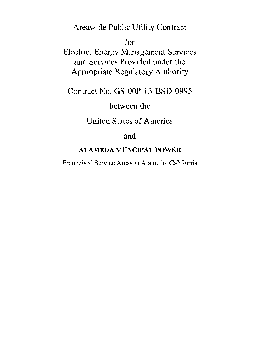Areawide Public Utility Contract

 $\overline{\phantom{a}}$ 

for

Electric, Energy Management Services and Services Provided under the Appropriate Regulatory Authority

Contract No. GS-OOP-13-BSD-0995

between the

United States of America

and

# ALAMEDA MUNCIPAL POWER

Franchised Service Areas in Alameda, California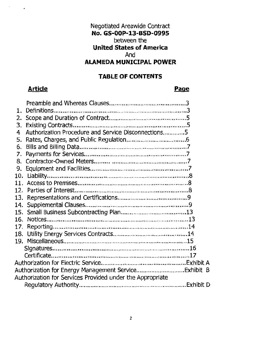# Negotiated Areawide Contract **No. GS-OOP-13-BSD-0995**  between the **United States of America**  And **ALAMEDA MUNICIPAL POWER**

# **TABLE OF CONTENTS**

# **Article Page**

 $\cdot$ 

| 1.                                                        |                                                     |  |  |  |
|-----------------------------------------------------------|-----------------------------------------------------|--|--|--|
| 2.                                                        |                                                     |  |  |  |
| 3.                                                        |                                                     |  |  |  |
| 4                                                         | Authorization Procedure and Service Disconnections5 |  |  |  |
| 5.                                                        |                                                     |  |  |  |
| 6.                                                        |                                                     |  |  |  |
| 7.                                                        |                                                     |  |  |  |
| 8.                                                        |                                                     |  |  |  |
| 9.                                                        |                                                     |  |  |  |
|                                                           |                                                     |  |  |  |
| 11.                                                       |                                                     |  |  |  |
|                                                           |                                                     |  |  |  |
| 13.                                                       |                                                     |  |  |  |
| 14.                                                       |                                                     |  |  |  |
|                                                           |                                                     |  |  |  |
| 16.                                                       |                                                     |  |  |  |
| 17.                                                       |                                                     |  |  |  |
| 18.                                                       |                                                     |  |  |  |
|                                                           |                                                     |  |  |  |
|                                                           |                                                     |  |  |  |
|                                                           |                                                     |  |  |  |
|                                                           |                                                     |  |  |  |
|                                                           |                                                     |  |  |  |
| Authorization for Services Provided under the Appropriate |                                                     |  |  |  |
|                                                           |                                                     |  |  |  |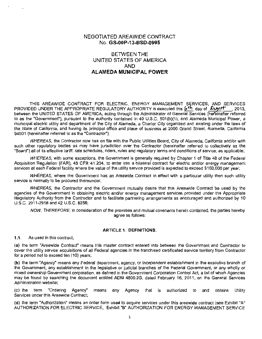# NEGOTIATED AREAWIDE CONTRACT No. **GS-OOP-13-BSD-0995**

# BETWEEN THE UNITED STATES OF AMERICA AND **ALAMEDA MUNICIPAL POWER**

THIS AREAWIDE CONTRACT FOR ELECTRIC, ENERGY MANAGEMENT SERVICES, AND SERVICES PROVIDED UNDER THE APPROPRIATE REGULATORY AUTHORITY is executed this  $6<sup>th</sup>$  day of  $\sqrt{N}$ between the UNITED STATES OF AMERICA, acting through the Administrator of General Services (hereinafter referred to as the "Government"), pursuant to the authority contained in 40 U.S.C. 501(b)(1), and Alameda Municipal Power, a municipal electric utility and department of the City of Alameda, a Charter City organized and existing under the laws of the State of California, and having its principal office and place of business at 2000 Grand Street, Alameda, California 94501 (hereinafter referred to as the "Contractor"):

WHEREAS, the Contractor now has on file with the Public Utilities Board, City of Alameda, California and/or with such other regulatory bodies as may have jurisdiction over the Contractor (hereinafter referred to collectively as the "Board") all of its effective tariff, rate schedules, riders, rules and regulatory terms and conditions of service, as applicable;

WHEREAS, with some exceptions, the Government is generally required by Chapter 1 of Title 48 of the Federal Acquisition Regulation (FAR), 48 CFR 41 .204, to enter into a bilateral contract for electric and/or energy management services at each Federal facility where the value of the utility service provided is expected to exceed \$150,000 per year;

WHEREAS, where the Government has an Areawide Contract in effect with a particular utility then such utility service is normally to be procured thereunder;

WHEREAS, the Contractor and the Government mutually desire that this Areawide Contract be used by the agencies of the Government in obtaining electric and/or energy management services provided under the Appropriate Regulatory Authority from the Contractor and to facilitate partnering arrangements as encouraged and authorized by 10 U.S.C. 2911-2918 and 42 U.S.C. 8256;

NOW. THEREFORE. in consideration of the premises and mutual covenants herein contained, the parties hereby agree as follows:

#### ARTICLE 1. DEFINITIONS.

1.1. As used in this contract,

(a) the term "Areawide Contract" means this master contract entered into between the Government and Contractor to cover the utility service acquisitions of all Federal agencies in the franchised certificated service territory from Contractor for a period not to exceed ten (10) years;

(b) the term "Agency" means any Federal department, agency, or independent establishment in the executive branch of the Government, any establishment in the legislative or judicial branches of the Federal Government, or any wholly or mixed ownership Government corporation, as defined in the Government Corporation Control Act, a list of which Agencies may be found by searching the document entitled ADM 4800.2G, dated February 16, 2011, on the General Services Administration website;

(c) the term "Ordering Agency" means any Agency that is authorized to and obtains Utility Services under this Areawide Contract;

(d) the term "Authorization" means an order form used to acquire services under this areawide contract (see Exhibit "A" AUTHORIZATION FOR ELECTRIC SERVICE, Exhibit "B" AUTHORIZATION FOR ENERGY MANAGEMENT SERVICE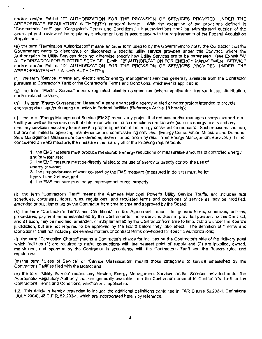and/or and/or Exhibit "D" AUTHORIZATION FOR THE PROVISION OF SERVICES PROVIDED UNDER THE APPROPRIATE REGULATORY AUTHORITY) annexed hereto. With the exception of the provisions defined in "Contractor's Tariff' and "Contractor's Terms and Conditions," all authorizations shall be administered outside of the oversight and purview of the regulatory environment and in accordance with the requirements of the Federal Acquisition Regulations;

(e) the term "Termination Authorization" means an order form used to by the Government to notify the Contractor that the Government wants to discontinue or disconnect a specific utility service provided under this Contract, where the Authorization for Utility Services does not otherwise specify how Utility Services are to be terminated. (see Exhibit "A" AUTHORIZATION FOR ELECTRIC SERVICE, Exhibit "B" AUTHORIZATION FOR ENERGY MANAGEMENT SERVICE and/or and/or Exhibit "D" AUTHORIZATION FOR THE PROVISION OF SERVICES PROVIDED UNDER THE APPROPRIATE REGULATORY AUTHORITY);

(f) the term "Service" means any electric and/or energy management services generally available from the Contractor pursuant to Contractor's Tariff or the Contractor's Terms and Conditions, whichever is applicable;

(g) the term "Electric Service" means regulated electric commodities (where applicable), transportation, distribution, and/or related services;

(h) the term "Energy Conservation Measure" means any specific energy related or water project intended to provide energy savings and/or demand reduction in Federal facilities (Reference Article 18 herein);

(i) the term ~Energy Management Service (EMS)" means any project that reduces and/or manages energy demand in a facility as well as those services that determine whether such reductions are feasible (such as energy audits and any ancillary services necessary to ensure the proper operation of the energy conservation measure. Such measures include, but are not limited to, operating, maintenance and commissioning services. {Energy Conservation Measure and Demand Side Management Measure are considered equivalent terms, and may result from Energy Management Services.) To be considered an EMS measure, the measure must satisfy all of the following requirements:

1. the EMS measure must produce measurable energy reductions or measurable amounts of controlled energy and/or water use;

2. the EMS measure must be directly related to the use of energy or directly control the use of energy or water;

3. the preponderance of work covered by the EMS measure (measured in dollars} must be for

Items 1 and 2 above; and

4. the EMS measure must be an improvement to real property.

0} the term "Contractor's Tariff' means the Alameda Municipal Power's Utility Service Tariffs, and includes rate schedules, covenants, riders, rules, regulations, and regulated terms and conditions of service as may be modified, amended or supplemented by the Contractor from time to time and approved by the Board;

(k) the term "Contractor's Terms and Conditions" for this Agreement, means the generic terms, conditions, policies, procedures, payment terms established by the Contractor for those services that are provided pursuant to this Contract. and as such, may be modified, amended, or supplemented by the Contractor from time to time, that are under the Board's jurisdiction, but are not required to be approved by the Board before they take effect. The definition of "Terms and Conditions" shall not include price-related matters or contract terms developed for specific Authorizations;

(I) the term "Connection Charge'' means a Contractor's charge for facilities on the Contractor's side of the delivery point which facilities (1) are required to make connections with the nearest point of supply and (2) are installed, owned, maintained, and operated by the Contractor in accordance with the Contractor's Tariff and the Board's rules and regulations;

(m} the term "Class of Service" or "Service Classification" means those categories of service established by the Contractor's Tariff as filed with the Board; and

(n) the term "Utility Service" means any Electric, Energy Management Services and/or Services provided under the Appropriate Regulatory Authority that are generally available from the Contractor pursuant to Contractor's Tariff or the Contractor's Terms and Conditions, whichever is applicable.

1.2. This Article is hereby expanded to include the additional definitions contained in FAR Clause 52.202-1, Definitions (JULY 2004}, 48 C.F.R. 52.202-1, which are incorporated herein by reference.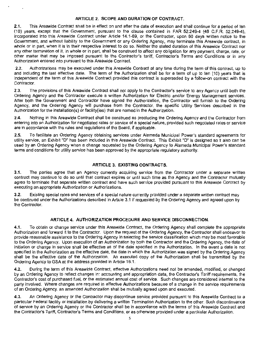## ARTICLE 2. SCOPE AND DURATION OF CONTRACT.

2.1. This Areawide Contract shall be in effect on and after the date of execution and shall continue for a period of ten (10) years, except that the Government, pursuant to the clause contained in FAR 52.249-4 (46 C.F.R. 52.249-4), incorporated into this Areawide Contract under Article 14.1-69, or the Contractor, upon 60 days written notice to the Government, and without liability to the Government or any Ordering Agency, may terminate this Areawide contract, in whole or in part, when it is in their respective interest to do so. Neither the stated duration of this Areawide Contract nor any other termination of it, in whole or in part, shall be construed to affect any obligation for any payment, charge, rate, or other matter that may be imposed pursuant to the Contractor's tariff, Contractor's Terms and Conditions or in any Authorization entered into pursuant to this Areawide Contract.

2.2. Authorizations may be executed under this Areawide Contract at any time during the term of this contract, up to and including the last effective date. The term of the Authorization shall be for a term of up to ten (10) years that is independent of the term of this Areawide Contract provided this contract is superseded by a follow-on contract with the Contractor.

2.3. The provisions of this Areawide Contract shall not apply to the Contractor's service to any Agency until both the Ordering Agency and the Contractor execute a written Authorization for Electric and/or Energy Management services. After both the Government and Contractor have signed the Authorization, the Contractor will furnish to the Ordering Agency, and the Ordering Agency will purchase from the Contractor, the specific Utility Services described in the Authorization for the installation(s) or facility(ies) that are named in the Authorization.

2.4. Nothing in this Areawide Contract shall be construed as precluding the Ordering Agency and the Contractor from entering into an Authorization for negotiated rates or service of a special nature, provided such negotiated rates or service are in accordance with the rules and regulations of the Board, if applicable.

2.5. To facilitate an Ordering Agency obtaining services under Alameda Municipal Power's standard agreements for utility service, an Exhibit "D" has been included in this Areawide Contract. This Exhibit "D" is designed so it also can be used by an Ordering Agency when a change requested by the Ordering Agency to Alameda Municipal Power's standard terms and conditions for utility service has been approved by the appropriate regulatory authority.

# ARTICLE 3. EXISTING CONTRACTS.

3.1. The parties agree that an Agency currently acquiring service from the Contractor under a separate written contract may continue to do so until that contract expires or until such time as the Agency and the Contractor mutually agree to terminate that separate written contract and have such service provided pursuant to this Areawide Contract by executing an appropriate Authorization or Authorizations.

3.2. Existing special rates and services of a special nature currently provided under a separate written contract may be continued under the Authorizations described in Article 3.1 if requested by the Ordering Agency and agreed upon by the Contractor.

# ARTICLE 4. AUTHORIZATION PROCEDURE AND SERVICE DISCONNECTION.

4.1. To obtain or change service under this Areawide Contract, the Ordering Agency shall complete the appropriate Authorization and forward it to the Contractor. Upon the request of the Ordering Agency, the Contractor shall endeavor to provide reasonable assistance to the Ordering Agency in selecting the service classification which may be most favorable to the Ordering Agency. Upon execution of an Authorization by both the Contractor and the Ordering Agency, the date of initiation or change in service shall be effective as of the date specified in the Authorization. In the event a date is not specified in the Authorization as the effective date, the date in which the Authorization was signed by the Ordering Agency shall be the effective date of the Authorization. An executed copy of the Authorization shall be transmitted by the Ordering Agency to GSA at the address provided in Article 16.1 .

4.2. During the term of this Areawide Contract, effective Authorizations need not be amended, modified, or changed by an Ordering Agency to reflect changes in: accounting and appropriation data, the Contractor's Tariff requirements, the Contractor's cost of purchased fuel, or the estimated annual cost of service. Such changes are considered internal to the party involved. Where changes are required in effective Authorizations because of a change in the service requirements of an Ordering Agency, an amended Authorization shall be mutually agreed upon and executed.

4.3. An Ordering Agency or the Contractor may discontinue service provided pursuant to this Areawide Contract to a particular Federal facility or installation by delivering a written Termination Authorization to the other. Such discontinuance of service by an Ordering Agency or the Contractor shall be in accordance with the terms of this Areawide Contract and the Contractor's Tariff, Contractor's Terms and Conditions, or as otherwise provided under a particular Authorization.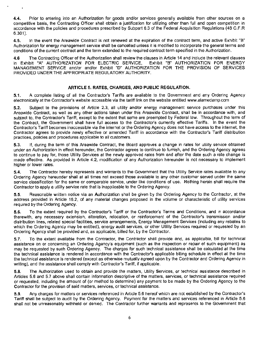4.4. Prior to entering into an Authorization for goods and/or services generally available from other sources on a competitive basis, the Contracting Officer shall obtain a justification for utilizing other than full and open competition in accordance with the policies and procedures prescribed by Subpart 6.3 of the Federal Acquisition Regulations (48 C.F.R 6.301).

4.5. In the event the Areawide Contract is not renewed at the expiration of the contract term, and active Exhibit "B" Authorization for energy management service shall be cancelled unless it is modified to incorporate the general terms and conditions of the current contract and the term extended to the required contract term specified in the Authorization.

4.6 The Contracting Officer of the Authorization shall review the clauses in Article 14 and include the relevant clauses in Exhibit "A" AUTHORIZATION FOR ELECTRIC SERVICE, Exhibit "8" AUTHORIZATION FOR ENERGY MANAGEMENT SERVICE and/or and/or Exhibit "D" AUTHORIZATION FOR THE PROVISION OF SERVICES PROVIDED UNDER THE APPROPRIATE REGULATORY AUTHORITY.

# ARTICLE 5. RATES, CHARGES, AND PUBLIC REGULATION.

5.1. A complete listing of all the Contractor's Tariffs are available to the Government and any Ordering Agency electronically at the Contractor's website accessible via the tariff link on the website entitled www.alamedamp.com

5.2. Subject to the provisions of Article 2.3, all utility and/or energy management service purchases under this Areawide Contract, as well as any other actions taken under this Areawide Contract, shall be in accordance with, and subject to, the Contractor's Tariff, except to the extent that same are preempted by Federal law. Throughout the term of the Contract, the Government shall have full access to the Contractor's currently effective Tariffs. In the event the Contractor's Tariff becomes inaccessible via the internet or the Ordering Agency does not have access to the internet. the Contractor agrees to provide newly effective or amended Tariff in accordance with the Contractor's Tariff distribution practices, policies and procedures applicable to all customers.

5.3. If, during the term of this Areawide Contract, the Board approves a change in rates for utility service obtained under an Authorization in effect hereunder, the Contractor agrees to continue to furnish, and the Ordering Agency agrees to continue to pay for, those Utility Services at the newly approved rates from and after the date such a rate change is made effective. As provided in Article 4.2, modification of any Authorization hereunder is not necessary to implement higher or lower rates.

5.4. The Contractor hereby represents and warrants to the Government that the Utility Service rates available to any Ordering Agency hereunder shall at all times not exceed those available to any other customer served under the same service classification for the same or comparable service, under like conditions of use. Nothing herein shall require the Contractor to apply a utility service rate that is inapplicable to the Ordering Agency.

5.5. Reasonable written notice via an Authorization shall be given by the Ordering Agency to the Contractor, at the address provided in Article 16.2, of any material changes proposed in the volume or characteristic of utility services required by the Ordering Agency.

5.6. To the extent required by the Contractor's Tariff or the Contractor's Terms and Conditions, and in accordance therewith, any necessary extension, alteration, relocation, or reinforcement of the Contractor's transmission and/or distribution lines, related special facilities, service arrangements, Energy Management Services (including any rebates to which the Ordering Agency may be entitled), energy audit services, or other Utility Services required or requested by an Ordering Agency shall be provided and, as applicable, billed for, by the Contractor.

5.7. To the extent available from the Contractor, the Contractor shall provide and, as applicable, bill for technical assistance on or concerning an Ordering Agency's equipment (such as the inspection or repair of such equipment) as may be requested by such Ordering Agency. The charges for such technical assistance shall be calculated at the time the technical assistance is rendered in accordance with the Contractor's applicable billing schedule in effect at the time the technical assistance is rendered (except as otherwise mutually agreed upon by the Contractor and Ordering Agency in writing), and the assistance shall comply with Contractor's Tariff, if applicable.

5.8. The Authorization used to obtain and provide the matters, Utility Services, or technical assistance described in Articles 5.6 and 5.7 above shall contain information descriptive of the matters, services, or technical assistance required or requested, including the amount of (or method to determine) any payment to be made by the Ordering Agency to the Contractor for the provision of said matters. services, or technical assistance.

5.9. Any charges for matters or services referenced in Article 5.6 hereof which are not established by the Contractor's Tariff shall be subject to audit by the Ordering Agency. Payment for the matters and services referenced in Article 5.6 shall not be unreasonably withheld or denied. The Contractor further warrants and represents to the Government that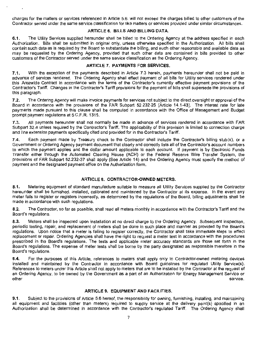charges for the matters or services referenced in Article 5.6. will not exceed the charges billed to other customers of the Contractor served under the same service classification for like matters or services provided under similar circumstances.

### **ARTICLE 6. BILLS AND BILLING DATA.**

**6.1.** The Utility Services supplied hereunder shall be billed to the Ordering Agency at the address specified in each Authorization. Bills shall be submitted in original only, unless otherwise specified in the Authorization. All bills shall contain such data as is required by the Board to substantiate the billing, and such other reasonable and available data as may be requested by the Ordering Agency, provided that such other data are contained in bills provided to other customers of the Contractor served under the same service classification as the Ordering Agency.

# **ARTICLE 7. PAYMENTS FOR SERVICES.**

**7.1.** With the exception of the payments described in Article 7.3 herein, payments hereunder shall not be paid in advance of services rendered. The Ordering Agency shall effect payment of all bills for Utility services rendered under this Areawide Contract in accordance with the terms of the Contractor's currently effective payment provisions of the Contractor's Tariff. Changes in the Contractor's Tariff provisions for the payment of bills shall supersede the provisions of this paragraph.

**7 .2.** The Ordering Agency will make invoice payments for services not subject to the direct oversight or approval of the Board in accordance with the provisions of the FAR Subpart 52.232-25 (Article 14.1-43). The interest rate for late payments made pursuant to this clause shall be computed in accordance with the Office of Management and Budget prompt payment regulations at 5 C.F .R. 1315.

7.3. All payments hereunder shall not normally be made in advance of services rendered in accordance with FAR Subpart 32.4 unless required by the Contractor's Tariff. The applicability of this provision is limited to connection charge and line extension payments specifically cited and provided for in the Contractor's Tariff.

**7.4.** Each payment made by Treasury check to the Contractor shall include the Contractor's billing stub(s), or a Government or Ordering Agency payment document that clearly and correctly lists all of the Contractor's account numbers to which the payment applies and the dollar amount applicable to each account. If payment is by Electronic Funds Transfer either through the Automated Clearing House (ACH) or the Federal Reserve Wire Transfer System, the provisions of FAR Subpart 52.232-37 shall apply (See Article 14) and the Ordering Agency must specify the method of payment and the designated payment office on the Authorization form.

# **ARTICLE 8. CONTRACTOR-OWNED METERS.**

**8.1.** Metering equipment of standard manufacture suitable to measure all Utility Services supplied by the Contractor hereunder shall be furnished, installed, calibrated and maintained by the Contractor at its expense. In the event any meter fails to register or registers incorrectly, as determined by the regulations of the Board, billing adjustments shall be<br>made in accordance with such regulations.

8.2. The Contractor, so far as possible, shall read all meters monthly in accordance with the Contractor's Tariff and the Board's regulations.

**8.3.** Meters shall be inspected upon installation at no direct charge to the Ordering Agency. Subsequent inspection, periodic testing, repair, and replacement of meters shall be done in such place and manner as provided by the Board's regulations. Upon notice that a meter is failing to register correctly, the Contractor shall take immediate steps to effect replacement or repair. Ordering Agencies shall have the right to request a meter test in accordance with the procedures prescribed in the Board's regulations. The tests and applicable meter accuracy standards are those set forth in the Board's regulations. The expense of meter tests shall be borne by the party designated as responsible therefore in the Board's regulations.

**8.4.** For the purposes of this Article, references to meters shall apply only to Contractor-owned metering devices installed and maintained by the Contractor in accordance with Board guidelines for regulated Utility Service(s). References to meters under this Article shall not apply to meters that are to be installed by the Contractor at the request of an Ordering Agency, to be owned by the Government as a part of an Authorization for Energy Management Service or<br>service other service. The service of the service of the service of the service service.

# **ARTICLE 9. EQUIPMENT AND FACILITIES.**

**9.1 .** Subject to the provisions of Article 5.6 hereof, the responsibility for owning, furnishing, installing. and maintaining all equipment and facilities {other than meters) required to supply service at the delivery point(s) specified in an Authorization shall be determined in accordance with the Contractor's regulated Tariff. The Ordering Agency shall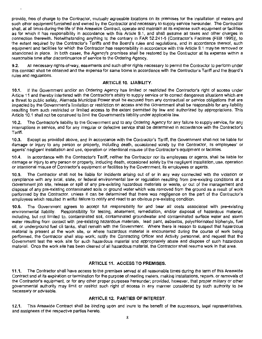provide. free of charge to the Contractor, mutually agreeable locations on its premises for the installation of meters and such other equipment furnished and owned by the Contractor and necessary to supply service hereunder. The Contractor shall, at all times during the life of this Areawide Contract. operate and maintain at its expense such equipment or facilities as for which it has responsibility in accordance with this Article 9.1, and shall assume all taxes and other charges in connection therewith. Notwithstanding anything to the contrary in FAR 52.241-5 (Contractor's Facilities (FEB 1995)), to the extent required by the Contractor's Tariffs and the Board's rules and regulations, and in accordance thereof, such equipment and facilities for which the Contractor has responsibility in accordance with this Article 9.1 may be removed or abandoned in place. In both cases, the Agency's premises shall be restored by the Contractor at its expense within a reasonable time after discontinuance of service to the Ordering Agency.

9.2. All necessary rights-of-way, easements and such other rights necessary to permit the Contractor to perform under this contract shall be obtained and the expense for same borne in accordance with the Contractor's Tariff and the Board's rules and regulations.

#### **ARTICLE 10. LIABILITY.**

**10.1.** If the Government and/or an Ordering Agency has limited or restricted the Contractor's right of access under Article 11 and thereby interfered with the Contractor's ability to supply service or to correct dangerous situations which are a threat to public safety, Alameda Municipal Power shall be excused from any contractual or service obligations that are impacted by the Government's limitation or restriction on access and the Government shall be responsible for any liability resulting from such restricted or limited access to the extent permitted by law and authorized by appropriations. This Article 10.1 shall not be construed to limit the Government's liability under applicable law.

**1**0.2. The Contractor's liability to the Government and to any Ordering Agency for any failure to supply service, for any interruptions in service, and for any irregular or defective service shall be determined in accordance with the Contractor's Tariff.

**10.3.** Except as provided above, and in accordance with the Contractor's Tariff, the Government shall not be liable for damage or injury to any person or property, including death, occasioned solely by the Contractor, its employees' or agents' negligent installation and use, operation or intentional misuse of the Contractor's equipment or facilities.

**1 0.4.** In accordance with the Contractor's Tariff, neither the Contractor nor its employees or agents, shall be liable for damage or injury to any person or property, including death, occasioned solely by the negligent installation, use, operation or intentional misuse of Contractor's equipment or facilities by the Government, its employees or agents.

**10.5.** The Contractor shall not be liable for incidents arising out of or in any way connected with the violation or compliance with any local, state, or federal environmental law or regulation resulting from pre-existing conditions at a Government job site, release or spill of any pre-existing hazardous materials or waste, or out of the management and disposal of any pre-existing contaminated soils or ground water which was removed from the ground as a result of work performed by the Contractor, unless it can be determined that there was negligence on the part of the Contractor's employees which resulted in willful failure to notify and react to an obvious pre-existing condition.

**10.6.** The Government agrees to accept full responsibility for and bear all costs associated with pre-existing environmental liability. Responsibility for testing, abatement, remediation, and/or disposal of hazardous material, including, but not limited to, contaminated soil, contaminated groundwater and contaminated surface water and storm water resulting from contact with pre-existing hazardous materials, lead paint, asbestos, polychlorinated biphenyls, fuel oil, or underground fuel oil tanks, shall remain with the Government. Where there is reason to suspect that hazardous material is present at the work site, or where hazardous material is encountered during the course of work being performed, the Contractor shall stop work; notify the Contracting Officer and Activity personnel, and request that the Government test the work site for such hazardous material and appropriately abate and dispose of such hazardous material. Once the work site has been cleared of all hazardous material, the Contractor shall resume work in that area.

# **ARTICLE 11. ACCESS TO PREMISES.**

**11.1.** The Contractor shall have access to the premises served at all reasonable times during the term of this Areawide Contract and at its expiration or termination for the purpose of reading meters, making installations, repairs, or removals of the Contractor's equipment, or for any other proper purposes hereunder; provided, however, that proper military or other governmental authority may limit or restrict such right of access in any manner considered by such authority to be necessary or advisable.

#### **ARTICLE 12. PARTIES OF INTEREST.**

**12.1.** This Areawide Contract shall be binding upon and inure to the benefit of the successors, legal representatives, and assignees of the respective parties hereto.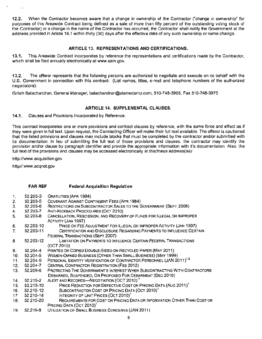12.2. When the Contractor becomes aware that a change in ownership of the Contractor {"change in ownership" for purposes of this Areawide Contract being defined as a sale of more than fifty percent of the outstanding voting stock of the Contractor) or a change in the name of the Contractor has occurred, the Contractor shall notify the Government at the address provided in Article 16.1 within thirty (30) days after the effective date of any such ownership or name change.

# ARTICLE 13. REPRESENTATIONS AND CERTIFICATIONS.

13.1. This Areawide Contract incorporates by reference the representations and certifications made by the Contractor, which shall be filed annually electronically at www.sam.gov.

13.2. The offeror represents that the following persons are authorized to negotiate and execute on its behalf with the U.S. Government in connection with this contract: (List names, titles, e-mail and telephone numbers of the authorized negotiators):

Girish Balachandran, General Manager, balachandran@alamedamp.com, 510-748-3905, Fax 510-748-3975

# ARTICLE 14. SUPPLEMENTAL CLAUSES.

14.1. Clauses and Provisions Incorporated by Reference.

This contract incorporates one or more provisions and contract clauses by reference, with the same force and effect as if they were given in full text. Upon request, the Contracting Officer will make their full text available. The offeror is cautioned that the listed provisions and clauses may include blocks that must be completed by the contractor and/or submitted with its documentation. In lieu of submitting the full text of those provisions and clauses. the contractor may identify the provision and/or clause by paragraph identifier and provide the appropriate information with it's documentation. Also, the full text of the provisions and clauses may be accessed electronically at this/these address(es):

http://www .acquisition.gov

http//:www.acqnet.gov

# FAR REF Federal Acquisition Regulation

| 1.  | 52.203-3  | <b>GRATUITIES (APR 1984)</b>                                                                          |
|-----|-----------|-------------------------------------------------------------------------------------------------------|
| 2.  | 52.203-5  | COVENANT AGAINST CONTINGENT FEES (APR 1984)                                                           |
| 3.  | 52.203-6  | RESTRICTIONS ON SUBCONTRACTOR SALES TO THE GOVERNMENT (SEPT 2006)                                     |
| 4.  | 52.203-7  | ANTI-KICKBACK PROCEDURES (OCT 2010)                                                                   |
| 5.  | 52.203-8  | CANCELLATION, RESCISSION, AND RECOVERY OF FUNDS FOR ILLEGAL OR IMPROPER<br><b>ACTIVITY (JAN 1997)</b> |
| 6.  | 52.203-10 | PRICE OR FEE ADJUSTMENT FOR ILLEGAL OR IMPROPER ACTIVITY (JAN 1997).                                  |
| 7.  | 52.203-11 | CERTIFICATION AND DISCLOSURE REGARDING PAYMENTS TO INFLUENCE CERTAIN                                  |
|     |           | FEDERAL TRANSACTIONS (SEPT 2007)                                                                      |
| 8.  | 52.203-12 | LIMITATION ON PAYMENTS TO INFLUENCE CERTAIN FEDERAL TRANSACTIONS                                      |
|     |           | (OCT 2010)                                                                                            |
| 9.  | 52.204-4  | PRINTED OR COPIED DOUBLE-SIDED ON RECYCLED PAPER (MAY 2011)                                           |
| 10. | 52.204-5  | WOMEN-OWNED BUSINESS (OTHER THAN SMALL BUSINESS) (MAY 1999)                                           |
| 11. | 52.204-9  | PERSONAL IDENTITY VERIFICATION OF CONTRACTOR PERSONNEL (JAN 2011) <sup>1,2</sup>                      |
| 12. | 52.204-7  | CENTRAL CONTRACTOR REGISTRATION (FEB 2012)                                                            |
| 13. | 52.209-6  | PROTECTING THE GOVERNMENT'S INTEREST WHEN SUBCONTRACTING WITH CONTRACTORS                             |
|     |           | DEBARRED, SUSPENDED, OR PROPOSED FOR DEBARMENT (DEC 2010)                                             |
| 14. | 52.215-2  | AUDIT AND RECORDS-NEGOTIATION (OCT 2010) <sup>1</sup>                                                 |
| 15. | 52.215-10 | PRICE REDUCTION FOR DEFECTIVE COST OR PRICING DATA (AUG 2011) <sup>1</sup>                            |
| 16. | 52.215-12 | SUBCONTRACTOR COST OR PRICING DATA (OCT 2010) <sup>1</sup>                                            |
| 17  | 52.215-14 | INTEGRITY OF UNIT PRICES (OCT 2010) <sup>1</sup>                                                      |
| 18. | 52.215-20 | REQUIREMENTS FOR COST OR PRICING DATA OR INFORMATION OTHER THAN COST OR                               |
|     |           | PRICING DATA (OCT 2010) <sup>1</sup>                                                                  |
| 19. | 52.219-8  | UTILIZATION OF SMALL BUSINESS CONCERNS (JAN 2011)                                                     |

9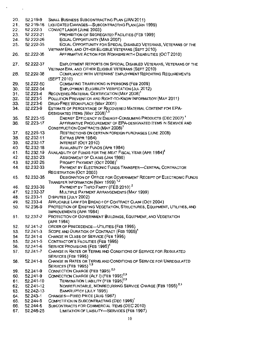| 20. | 52.219-9  | SMALL BUSINESS SUBCONTRACTING PLAN (JAN 2011)                                                                            |
|-----|-----------|--------------------------------------------------------------------------------------------------------------------------|
| 21. | 52.219-16 | LIQUIDATED DAMAGES-SUBCONTRACTING PLAN (JAN 1999)                                                                        |
| 22. | 52.222-3  | CONVICT LABOR (JUNE 2003)                                                                                                |
| 23. | 52.222-21 | PROHIBITION OF SEGREGATED FACILITIES (FEB 1999)                                                                          |
|     |           |                                                                                                                          |
| 24. | 52.222-26 | EQUAL OPPORTUNITY (MAR 2007)                                                                                             |
| 25. | 52.222-35 | EQUAL OPPORTUNITY FOR SPECIAL DISABLED VETERANS, VETERANS OF THE                                                         |
|     |           | VIETNAM ERA, AND OTHER ELIGIBLE VETERANS (SEPT 2010)                                                                     |
| 26. | 52.222-36 | AFFIRMATIVE ACTION FOR WORKERS WITH DISABILITIES (OCT 2010)                                                              |
| 27. | 52.222-37 | EMPLOYMENT REPORTS ON SPECIAL DISABLED VETERANS, VETERANS OF THE<br>VIETNAM ERA, AND OTHER ELIGIBLE VETERANS (SEPT 2010) |
| 28. | 52.222-38 | COMPLIANCE WITH VETERANS' EMPLOYMENT REPORTING REQUIREMENTS<br>(SEPT 2010)                                               |
| 29. | 52.222-50 | COMBATING TRAFFICKING IN PERSONS (FEB 2009)                                                                              |
| 30. | 52,222-54 | <b>EMPLOYMENT ELIGIBILITY VERIFICATION (JUL 2012)</b>                                                                    |
| 31. | 52.223-4  | RECOVERED MATERIAL CERTIFICATION (MAY 2008) <sup>1</sup>                                                                 |
| 32. | 52.223-5  | POLLUTION PREVENTION AND RIGHT-TO-KNOW INFORMATION (MAY 2011)                                                            |
|     |           |                                                                                                                          |
| 33. | 52.223-6  | DRUG-FREE WORKPLACE (MAY 2001)                                                                                           |
| 34. | 52.223-9  | ESTIMATE OF PERCENTAGE OF RECOVERED MATERIAL CONTENT FOR EPA-<br>DESIGNATED ITEMS (MAY 2008) <sup>1,3</sup>              |
|     |           | ENERGY EFFICIENCY IN ENERGY-CONSUMING PRODUCTS (DEC 2007) <sup>1</sup>                                                   |
| 35. | 52.223-15 |                                                                                                                          |
| 36. | 52.223-17 | AFFIRMATIVE PROCUREMENT OF EPA-DESIGNATED ITEMS IN SERVICE AND                                                           |
|     |           | CONSTRUCTION CONTRACTS (MAY 2008) <sup>1</sup>                                                                           |
| 37. | 52.225-13 | RESTRICTIONS ON CERTAIN FOREIGN PURCHASES (JUNE 2008)                                                                    |
| 38. | 52.232-11 | EXTRAS (APR 1984)                                                                                                        |
| 39. | 52.232-17 | INTEREST (OCT 2010)                                                                                                      |
| 40. | 52.232-18 | AVAILABILITY OF FUNDS (APR 1984)                                                                                         |
| 41. | 52.232.19 | AVAILABILITY OF FUNDS FOR THE NEXT FISCAL YEAR (APR 1984) <sup>4</sup>                                                   |
| 42. | 52.232-23 | ASSIGNMENT OF CLAIMS (JAN 1986)                                                                                          |
| 43. | 52.232-25 | PROMPT PAYMENT (OCT 2008) <sup>1</sup>                                                                                   |
| 44. | 52.232-33 | PAYMENT BY ELECTRONIC FUNDS TRANSFER-CENTRAL CONTRACTOR                                                                  |
|     |           | REGISTRATION (OCT 2003)                                                                                                  |
| 45. | 52.232-35 | DESIGNATION OF OFFICE FOR GOVERNMENT RECEIPT OF ELECTRONIC FUNDS                                                         |
|     |           | TRANSFER INFORMATION (MAY 1999) <sup>1,2</sup>                                                                           |
| 46. | 52.232-36 | PAYMENT BY THIRD PARTY (FEB 2010) <sup>2</sup>                                                                           |
| 47. | 52.232-37 | MULTIPLE PAYMENT ARRANGEMENTS (MAY 1999)                                                                                 |
| 48. | 52.233-1  | DISPUTES (JULY 2002)                                                                                                     |
| 49. | 52.233-4  | APPLICABLE LAW FOR BREACH OF CONTRACT CLAIM (OCT 2004)                                                                   |
|     |           | PROTECTION OF EXISTING VEGETATION, STRUCTURES, EQUIPMENT, UTILITIES, AND                                                 |
| 50. | 52.236-9  | IMPROVEMENTS (APR 1984)                                                                                                  |
| 51. | 52.237-2  | PROTECTION OF GOVERNMENT BUILDINGS, EQUIPMENT, AND VEGETATION<br>(APR 1984)                                              |
| 52. | 52.241-2  | ORDER OF PRECEDENCE-UTILITIES (FEB 1995)                                                                                 |
| 53. | 52,241-3  | SCOPE AND DURATION OF CONTRACT (FEB 1995) <sup>4</sup>                                                                   |
| 54. | 52.241-4  | CHANGE IN CLASS OF SERVICE (FEB 1995)                                                                                    |
| 55. | 52.241-5  | <b>CONTRACTOR'S FACILITIES (FEB 1995)</b>                                                                                |
| 56. | 52.241-6  | SERVICE PROVISIONS (FEB 1995) <sup>4</sup>                                                                               |
| 57. | 52.241-7  | CHANGE IN RATES OR TERMS AND CONDITIONS OF SERVICE FOR REGULATED                                                         |
|     |           | SERVICES (FEB 1995)                                                                                                      |
|     |           |                                                                                                                          |
| 58. | 52.241-8  | CHANGE IN RATES OR TERMS AND CONDITIONS OF SERVICE FOR UNREGULATED                                                       |
|     |           | SERVICES (FEB 1995) <sup>1,3</sup>                                                                                       |
| 59. | 52.241-9  | CONNECTION CHARGE (FEB 1995) <sup>2,3</sup>                                                                              |
| 60. | 52.241-9  | CONNECTION CHARGE (ALT I) (FEB 1995) <sup>2,3</sup>                                                                      |
| 61. | 52.241-10 | TERMINATION LIABILITY (FEB 1995) <sup>2,3</sup>                                                                          |
| 62. | 52.241-12 | NONREFUNDABLE, NONRECURRING SERVICE CHARGE (FEB 1995) <sup>2,3</sup>                                                     |
| 63. | 52.242-13 | BANKRUPTCY (JULY 1995)                                                                                                   |
| 64. | 52.243-1  | CHANGES-FIXED PRICE (AUG 1987)                                                                                           |
| 65. | 52.244-5  | COMPETITION IN SUBCONTRACTING (DEC 1996) <sup>1</sup>                                                                    |
| 66. | 52.244-6  | SUBCONTRACTS FOR COMMERCIAL ITEMS (DEC 2010)                                                                             |
| 67. | 52.246-25 | LIMITATION OF LIABILITY-SERVICES (FEB 1997)                                                                              |
|     |           |                                                                                                                          |
|     |           | 10                                                                                                                       |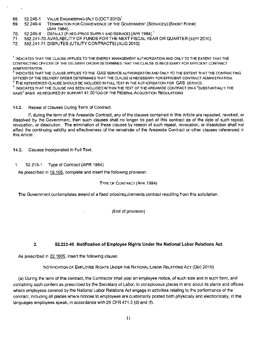- 68. 52.248-1 VALUE ENGINEERING (ALT I) (OCT 2010)<sup>1</sup><br>69. 52.249-4 TERMINATION FOR CONVENIENCE OF THE C
- 69. 52.249-4 TERMINATION FOR CONVENIENCE OF THE GOVERNMENT (SERVICES) {SHORT FORM} {APR 1984)
- 70. 52.249-8 DEFAULT (FIXED-PRICE SUPPLY AND SERVICE) (APR 1984)<sup>1</sup>
- 71. 552.241-70 AVAILABILITY OF FUNDS FOR THE NEXT FISCAL YEAR OR QUARTER (SEPT 2010)
- 72. 552.241-71 DISPUTES {UTILITY CONTRACTS) (AUG 201 0}

 $^1$  INDICATES THAT THE CLAUSE APPLIES TO THE ENERGY MANAGEMENT AUTHORIZATION AND ONLY TO THE EXTENT THAT THE CONTRACTING OFFICER OF THE DELIVERY ORDER DETERMINES THAT THE CLAUSE IS NECESSARY FOR EFFICIENT CONTRACT ADMINISTRATION.

2 INDICATES THAT THE CLAUSE APPLIES TO THE GAS SERVICE AUTHORIZATION AND ONLY TO THE EXTENT THAT THE CONTRACTING OFFICER OF THE DELIVERY ORDER DETERMINES THAT THE CLAUSE IS NECESSARY FOR EFFICIENT CONTRACT ADMINISTRATION.<br><sup>3</sup> The Referenced clause should be included in full text in the authorization for GAS service.

<sup>4</sup> INDICATES THAT THE CLAUSE HAS BEEN INCLUDED WITHIN THE TEXT OF THE AREAWIDE CONTRACT ON A "SUBSTANTIALLY THE SAME" BASIS AS REQUIRED BY SUBPART 41, 501(A) OF THE FEDERAL ACQUISITION REGULATIONS

### 14.2. Repeal of Clauses During Term of Contract.

If, during the term of this Areawide Contract, any of the clauses contained in this Article are repealed, revoked. or dissolved by the Government, then such clauses shall no longer be part of this contract as of the date of such repeal, revocation, or dissolution. The elimination of these clauses by reason of such repeal, revocation, or dissolution shall not affect the continuing validity and effectiveness of the remainder of the Areawide Contract or other clauses referenced in this Article.

14.3. Clauses Incorporated in Full Text.

1. 52.216-1 Type of Contract (APR 1984)

As prescribed in 16.105, complete and insert the following provision:

#### TYPE OF CONTRACT (APR 1984)

The Government contemplates award of a fixed price/requirements contract resulting from this solicitation.

(End of provision)

# 2. 52.222-40 Notification of Employee Rights Under the National Labor Relations Act.

As prescribed in 22.1605, insert the following clause:

NOTIFICATION OF EMPLOYEE RIGHTS UNDER THE NATIONAL LABOR RELATIONS ACT (DEC 2010)

(a) During the term of this contract, the Contractor shall post an employee notice, of such size and in such form, and containing such content as prescribed by the Secretary of Labor, in conspicuous places in and about its plants and offices where employees covered by the National Labor Relations Act engage in activities relating to the performance of the contract, including all places where notices to employees are customarily posted both physically and electronically, in the languages employees speak, in accordance with 29 CFR 471.2 (d) and (f).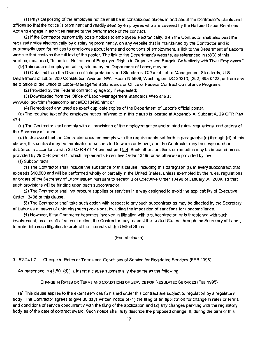(1) Physical posting of the employee notice shall be in conspicuous places in and about the Contractor's plants and offices so that the notice is prominent and readily seen by employees who are covered by the National Labor Relations Act and engage in activities related to the performance of the contract.

(2) If the Contractor customarily posts notices to employees electronically, then the Contractor shall also post the required notice electronically by displaying prominently, on any website that is maintained by the Contractor and is customarily used for notices to employees about terms and conditions of employment, a link to the Department of Labor's website that contains the full text of the poster. The link to the Department's website, as referenced in (b)(3) of this section, must read, "Important Notice about Employee Rights to Organize and Bargain Collectively with Their Employers."

(b) This required employee notice, printed by the Department of labor, may be

(1} Obtained from the Division of Interpretations and Standards, Office of Labor-Management Standards, U.S. Department of Labor, 200 Constitution Avenue, NW., Room N-5609, Washington, DC 20210, (202) 693-0123, or from any field office of the Office of Labor-Management Standards or Office of Federal Contract Compliance Programs;

(2) Provided by the Federal contracting agency if requested;

(3) Downloaded from the Office of Labor-Management Standards Web site at www.dol.gov/olmslregs/compliance/EO 13496.htm; or

(4} Reproduced and used as exact duplicate copies of the Department of Labor's official poster.

(c) The required text of the employee notice referred to in this clause is located at Appendix A, Subpart A, 29 CFR Part 471.

(d} The Contractor shall comply with all provisions of the employee notice and related rules, regulations, and orders of the Secretary of Labor.

(e) In the event that the Contractor does not comply with the requirements set forth in paragraphs (a) through (d) of this clause, this contract may be terminated or suspended in whole or in part, and the Contractor may be suspended or debarred in accordance with 29 CFR 471.14 and subpart 9.4. Such other sanctions or remedies may be imposed as are provided by 29 CFR part 471, which implements Executive Order 13496 or as otherwise provided by law.

(f) Subcontracts.

(1) The Contractor shall include the substance of this clause, including this paragraph (f), in every subcontract that exceeds \$10,000 and will be performed wholly or partially in the United States, unless exempted by the rules, regulations, or orders of the Secretary of Labor issued pursuant to section 3 of Executive Order 13496 of January 30, 2009, so that such provisions will be binding upon each subcontractor.

(2) The Contractor shall not procure supplies or services in a way designed to avoid the applicability of Executive Order 13496 or this clause.

(3) The Contractor shall take such action with respect to any such subcontract as may be directed by the Secretary of Labor as a means of enforcing such provisions, including the imposition of sanctions for noncompliance.

(4) However, if the Contractor becomes involved in litigation with a subcontractor, or is threatened with such involvement. as a result of such direction, the Contractor may request the United States, through the Secretary of Labor, to enter into such litigation to protect the interests of the United States.

(End of clause)

3. 52.241-7 Change in Rates or Terms and Conditions of Service for Regulated Services (FEB 1995)

As prescribed in  $41.501(d)(1)$ , insert a clause substantially the same as the following:

CHANGE IN RATES OR TERMS AND CONDITIONS OF SERVICE FOR REGULATED SERVICES (FEB 1995)

(a) This clause applies to the extent services furnished under this contract are subject to regulation by a regulatory body. The Contractor agrees to give 30 days written notice of (1) the filing of an application for change in rates or terms and conditions of service concurrently with the filing of the application and (2) any changes pending with the regulatory body as of the date of contract award. Such notice shall fully describe the proposed change. If, during the term of this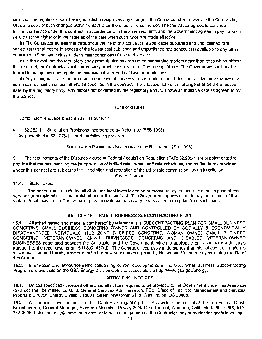contract, the regulatory body having jurisdiction approves any changes, the Contractor shall forward to the Contracting Officer a copy of such changes within 15 days after the effective date thereof. The Contractor agrees to continue furnishing service under this contract in accordance with the amended tariff, and the Government agrees to pay for such service at the higher or lower rates as of the date when such rates are made effective.

{b) The Contractor agrees that throughout the life of this contract the applicable published and unpublished rate schedule(s) shall not be in excess of the lowest cost published and unpublished rate schedule(s) available to any other customers of the same class under similar conditions of use and service.

(c) In the event that the regulatory body promulgates any regulation concerning matters other than rates which affects this contract. the Contractor shall immediately provide a copy to the Contracting Officer. The Government shall not be bound to accept any new regulation inconsistent with Federal laws or regulations.

(d) Any changes to rates or terms and conditions of service shall be made a part of this contract by the issuance of a contract modification unless otherwise specified in the contract. The effective date of the change shall be the effective date by the regulatory body. Any factors not governed by the regulatory body will have an effective date as agreed to by the parties.

(End of clause)

NOTE: Insert language prescribed in 41.501(d)(1).

4. 52.252-1 Solicitation Provisions Incorporated by Reference (FEB 1998) As prescribed in  $52.107(a)$ , insert the following provision:

#### SOLICITATION PROVISIONS INCORPORATED BY REFERENCE {FEB 1998)

5. The requirements of the Disputes clause at Federal Acquisition Regulation (FAR) 52.233-1 are supplemented to provide that matters involving the interpretation of tariffed retail rates, tariff rate schedules, and tariffed terms provided under this contract are subject to the jurisdiction and regulation of the utility rate commission having jurisdiction.

{End of Clause)

14.4. State Taxes.

The contract price excludes all State and local taxes levied on or measured by the contract or sales price of the services or completed supplies furnished under this contract. The Government agrees either to pay the amount of the state or local taxes to the Contractor or provide evidence necessary to sustain an exemption from such taxes.

# ARTICLE 15. SMALL BUSINESS SUBCONTRACTING PLAN

15.1. Attached hereto and made a part hereof by reference is a SUBCONTRACTING PLAN FOR SMALL BUSINESS CONCERNS, SMALL BUSINESS CONCERNS OWNED AND CONTROLLED BY SOCIALLY & ECONOMICALLY DISADVANTAGED INDIVIDUALS, HUB ZONE BUSINESS CONCERNS, WOMAN OWNED SMALL BUSINESS CONCERNS, VETERAN-OWNED SMALL BUSINESSES CONCERNS AND DISABLED VETERAN-OWNED BUSINESSES negotiated between the Contractor and the Government, which is applicable on a company wide basis pursuant to the requirements of 15 U.S.C. 637(d). The Contractor expressly understands that this subcontracting plan is an annual plan and hereby agrees to submit a new subcontracting plan by November 30<sup>th</sup> of each year during the life of this Contract.

15.2. Information and announcements concerning current developments in the GSA Small Business Subcontracting Program are available on the GSA Energy Division web site accessible via http://www.gsa.gov/energy.

#### ARTICLE 16. NOTICES

16.1. Unless specifically provided otherwise, all notices required to be provided to the Government under this Areawide Contract shall be mailed to: U. S. General Services Administration, PBS, Office of Facilities Management and Services Program; Director, Energy Division, 1800 F Street, NW Room 5116, Washington, DC 20405.

16.2. All inquiries and notices to the Contractor regarding this Areawide Contract shall be mailed to: Girish Balachandran, General Manager, Alameda Municipal Power, 2000 Grand Street, Alameda, California 94501-0263, 510 748-3905, balachandran@alamedamp.com, or to such other person as the Contractor may hereafter designate in writing.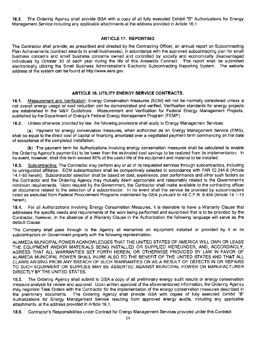16.3. The Ordering Agency shall provide GSA with a copy of all fully executed Exhibit "B" Authorizations for Energy Management Service including any applicable attachments at the address provided in Article 16.1.

#### ARTICLE 17. REPORTING

The Contractor shall provide, as prescribed and directed by the Contracting Officer, an annual report on Subcontracting Plan Achievements (contract awards to small businesses), in accordance with the approved subcontracting plan for small business concerns and small business concerns owned and controlled by socially and economically disadvantaged individuals by October 30 of each year during the life of this Areawide Contract. The report shall be submitted electronically utilizing the Small Business Administration's Electronic Subcontracting Reporting System. The website address of the system can be found at http://www.esrs.gov.

# ARTICLE 18. UTILITY ENERGY SERVICE CONTRACTS.

18.1. Measurement and Verification: Energy Conservation Measures (ECM) will not be normally considered unless a net overall energy usage or cost reduction can be demonstrated and verified. Verification standards for energy projects are established in the M&V Guidelines: Measurement and Verification for Federal Energy Management Projects, published by the Department of Energy's Federal Energy Management Program (FEMP).

18.2. Unless otherwise provided by law, the following provisions shall apply to Energy Management Services:

(a) Payment for energy conservation measures, when authorized as an Energy Management Service (EMS), shall be equal to the direct cost of capital or financing amortized over a negotiated payment term commencing on the date of acceptance of the completed installation;

(b) The payment term for Authorizations involving energy conservation measures shall be calculated to enable the Ordering Agency's payment(s) to be lower than the estimated cost savings to be realized from its implementation. In no event, however, shall this term exceed 60% of the useful life of the equipment and material to be installed.

18.3. Subcontracting: The Contractor may perform any or all of its requested services through subcontractors, including its unregulated affiliates. ECM subcontractors shall be competitively selected in accordance with FAR 52.244-5 (Article 14.1-65 herein). Subcontractor selection shall be based on cost, experience, past performance and other such factors as the Contractor and the Ordering Agency may mutually deem appropriate and reasonably related to the Government's minimum requirements. Upon request by the Government, the Contractor shall make available to the contracting officer all documents related to the selection of a subcontractor. In no event shall the service be provided by subcontractors listed as excluded from Federal Procurement Programs maintained by GSA pursuant to 48 C.F.R. 9.404 (Article 14.1-13 herein).

18.4. For all Authorizations involving Energy Conservation Measures, it is desirable to have a Warranty Clause that addresses the specific needs and requirements of the work being performed and equipment that is to be provided by the Contractor, however, in the absence of a Warranty Clause in the Authorization the following language will serve as the default Clause:

The Company shall pass through to the Agency all warranties on equipment installed or provided by it or its subcontractors on Government property with the following representation:

ALAMEDA MUNICIPAL POWER ACKNOWLEDGES THAT THE UNITED STATES OF AMERICA WILL OWN OR LEASE THE EQUIPMENT AND/OR MATERIALS BEING INSTALLED OR SUPPLIED HEREUNDER, AND, ACCORDINGLY, AGREES THAT ALL WARRANTIES SET FORTH HEREIN, OR OTHERWISE PROVIDED BY LAW IN FAVOR OF ALAMEDA MUNICIPAL POWER SHALL INURE ALSO TO THE BENEFIT OF THE UNITED STATES AND THAT ALL CLAIMS ARISING FROM ANY BREACH OF SUCH WARRANTIES OR AS A RESULT OF DEFECTS IN OR REPAIRS TO SUCH EQUIPMENT OR SUPPLIES MAY BE ASSERTED AGAINST MUNICIPAL POWER OR MANUFACTURER DIRECTLY BY THE UNITED STATES.

18.5. The Ordering Agency shall submit to GSA a copy of all preliminary energy audit results or energy conservation measure analysis for review and approval. Upon written approval of the aforementioned information, the Ordering Agency may negotiate Task Orders with the Contractor for the implementation of the energy conservation measures described in the preliminary documents. The Ordering Agency shall provide GSA with copies of fully executed Exhibit "B" Authorizations for Energy Management Service resulting from approved energy audits. including any applicable attachments, at the address provided in Article 16.1.

18.6. Contractor's Responsibilities under Contract for Energy Management Services provided under this Contract: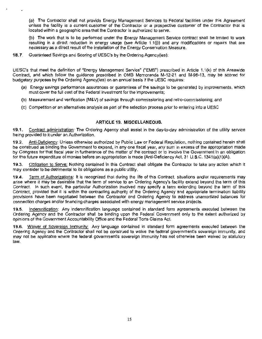(a) The Contractor shall not provide Energy Management Services to Federal facilities under this Agreement unless the facility is a current customer of the Contractor or a prospective customer of the Contractor that is located within a geographic area that the Contractor is authorized to serve.

(b) The work that is to be performed under the Energy Management Service contract shall be limited to work resulting in a direct reduction in energy usage (see Article 1.1(i)) and any modifications or repairs that are necessary as a direct result of the installation of the Energy Conservation Measure.

#### **18.7.** Guaranteed Savings and Scoring of UESC's by the Ordering Agency(ies):

UESC's that meet the definition of "Energy Management Service" ("EMS") prescribed in Article 1.1 (k) of this Areawide Contract, and which follow the guidance prescribed in OMB Memoranda M-12-21 and M-98-13, may be scored for budgetary purposes by the Ordering Agency(ies) on an annual basis if the UESC requires:

- (a) Energy savings performance assurances or quarantees of the savings to be generated by improvements, which must cover the full cost of the Federal investment for the improvements;
- (b) Measurement and verification (M&V) of savings through commissioning and retro-commissioning; and
- (c) Competition or an alternatives analysis as part of the selection process prior to entering into a UESC

# **ARTICLE 19. MISCELLANEOUS.**

**19.1.** Contract administration: The Ordering Agency shall assist in the day-to-day administration of the utility service being provided to it under an Authorization.

**19.2.** Anti-Deficiency: Unless otherwise authorized by Public Law or Federal Regulation, nothing contained herein shall be construed as binding the Government to expend, in any one fiscal year, any sum in excess of the appropriation made by Congress for that fiscal year in furtherance of the matter of the contract or to involve the Government in an obligation for the future expenditure of monies before an appropriation is made (Anti-Deficiency Act, 31 U.S.C. 1341(a)(1)(A).

**19.3.** Obligation to Serve: Nothing contained in this Contract shall obligate the Contractor to take any action which it may consider to be detrimental to its obligations as a public utility.

**19.4.** Term of Authorizations: It is recognized that during the life of this Contract. situations and/or requirements may arise where it may be desirable that the term of service to an Ordering Agency's facility extend beyond the term of this Contract. In such event, the particular Authorization involved may specify a term extending beyond the term of this Contract, provided that it is within the contracting authority of the Ordering Agency and appropriate termination liability provisions have been negotiated between the Contractor and Ordering Agency to address unamortized balances for connection charges and/or financing charges associated with energy management service projects.

**19.5.** Indemnification: Any indemnification language contained in standard form agreements executed between the Ordering Agency and the Contractor shall be binding upon the Federal Government only to the extent authorized by opinions of the Government Accountability Office and the Federal Torts Claims Act.

**19.6.** Waiver of Sovereign Immunity: Any language contained in standard form agreements executed between the Ordering Agency and the Contractor shall not be construed to waive the federal government's sovereign immunity, and may not be applicable where the federal government's sovereign immunity has not otherwise been waived by statutory law.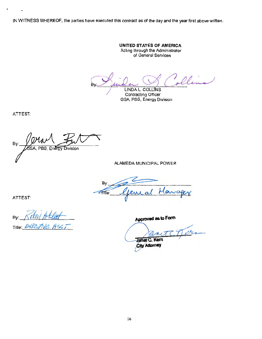IN WITNESS WHEREOF, the parties have executed this contract as of the day and the year first above written.

**UNITED STATES OF AMERICA**  Acting through the Administrator of General Services

By Suide Scotlering Collering

GSA, PBS, Energy Division

ATTEST:

By: SA, PBS, Energy Division

ALAMEDA MUNICIPAL POWER

By: Lema **PTfle** 

ATTEST:

By: Title: EXEC

**Approved aa to Form** 

Tern Janet C. Kern City Attorney

16